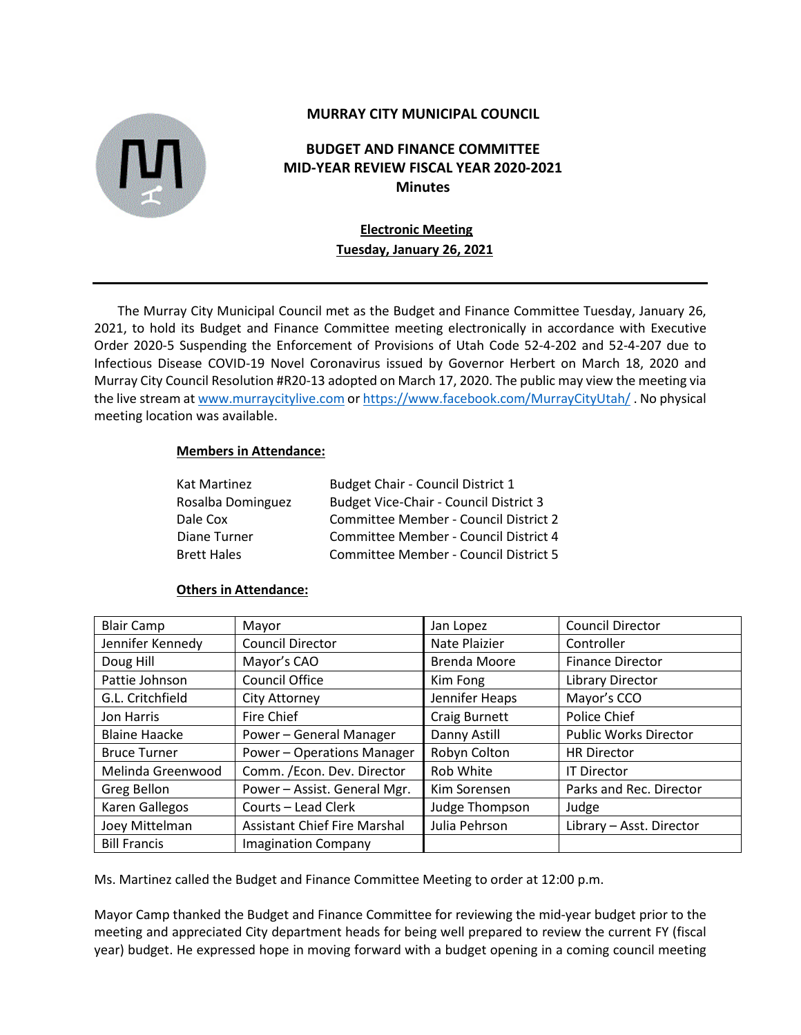

## **MURRAY CITY MUNICIPAL COUNCIL**

# **BUDGET AND FINANCE COMMITTEE MID-YEAR REVIEW FISCAL YEAR 2020-2021 Minutes**

# **Electronic Meeting Tuesday, January 26, 2021**

The Murray City Municipal Council met as the Budget and Finance Committee Tuesday, January 26, 2021, to hold its Budget and Finance Committee meeting electronically in accordance with Executive Order 2020-5 Suspending the Enforcement of Provisions of Utah Code 52-4-202 and 52-4-207 due to Infectious Disease COVID-19 Novel Coronavirus issued by Governor Herbert on March 18, 2020 and Murray City Council Resolution #R20-13 adopted on March 17, 2020. The public may view the meeting via the live stream a[t www.murraycitylive.com](http://www.murraycitylive.com/) o[r https://www.facebook.com/MurrayCityUtah/](https://www.facebook.com/MurrayCityUtah/) . No physical meeting location was available.

#### **Members in Attendance:**

| Kat Martinez       | Budget Chair - Council District 1             |
|--------------------|-----------------------------------------------|
| Rosalba Dominguez  | <b>Budget Vice-Chair - Council District 3</b> |
| Dale Cox           | Committee Member - Council District 2         |
| Diane Turner       | Committee Member - Council District 4         |
| <b>Brett Hales</b> | Committee Member - Council District 5         |

#### **Others in Attendance:**

| <b>Blair Camp</b>    | Mayor                               | Jan Lopez           | <b>Council Director</b>      |
|----------------------|-------------------------------------|---------------------|------------------------------|
| Jennifer Kennedy     | <b>Council Director</b>             | Nate Plaizier       | Controller                   |
| Doug Hill            | Mayor's CAO                         | <b>Brenda Moore</b> | <b>Finance Director</b>      |
| Pattie Johnson       | <b>Council Office</b>               | Kim Fong            | Library Director             |
| G.L. Critchfield     | <b>City Attorney</b>                | Jennifer Heaps      | Mayor's CCO                  |
| Jon Harris           | Fire Chief                          | Craig Burnett       | Police Chief                 |
| <b>Blaine Haacke</b> | Power - General Manager             | Danny Astill        | <b>Public Works Director</b> |
| <b>Bruce Turner</b>  | Power - Operations Manager          | Robyn Colton        | <b>HR Director</b>           |
| Melinda Greenwood    | Comm. /Econ. Dev. Director          | Rob White           | <b>IT Director</b>           |
| Greg Bellon          | Power - Assist. General Mgr.        | Kim Sorensen        | Parks and Rec. Director      |
| Karen Gallegos       | Courts - Lead Clerk                 | Judge Thompson      | Judge                        |
| Joey Mittelman       | <b>Assistant Chief Fire Marshal</b> | Julia Pehrson       | Library - Asst. Director     |
| <b>Bill Francis</b>  | <b>Imagination Company</b>          |                     |                              |

Ms. Martinez called the Budget and Finance Committee Meeting to order at 12:00 p.m.

Mayor Camp thanked the Budget and Finance Committee for reviewing the mid-year budget prior to the meeting and appreciated City department heads for being well prepared to review the current FY (fiscal year) budget. He expressed hope in moving forward with a budget opening in a coming council meeting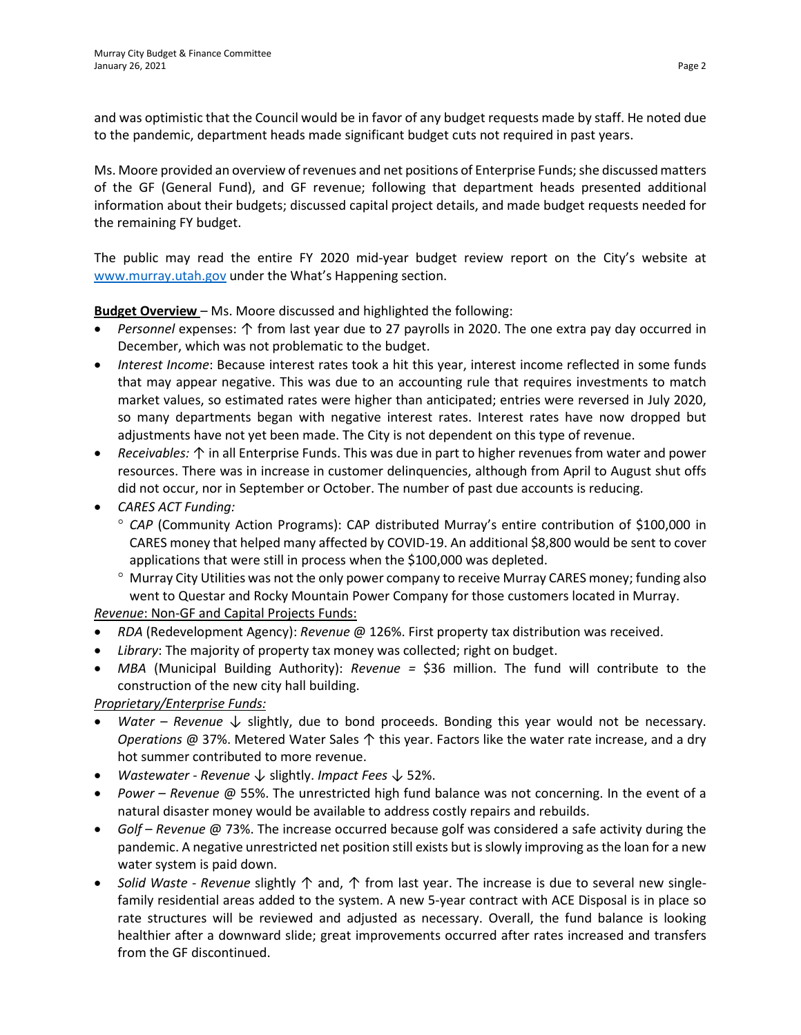and was optimistic that the Council would be in favor of any budget requests made by staff. He noted due to the pandemic, department heads made significant budget cuts not required in past years.

Ms. Moore provided an overview of revenues and net positions of Enterprise Funds; she discussed matters of the GF (General Fund), and GF revenue; following that department heads presented additional information about their budgets; discussed capital project details, and made budget requests needed for the remaining FY budget.

The public may read the entire FY 2020 mid-year budget review report on the City's website at [www.murray.utah.gov](http://www.murray.utah.gov/) under the What's Happening section.

**Budget Overview** – Ms. Moore discussed and highlighted the following:

- *Personnel* expenses: ↑ from last year due to 27 payrolls in 2020. The one extra pay day occurred in December, which was not problematic to the budget.
- *Interest Income*: Because interest rates took a hit this year, interest income reflected in some funds that may appear negative. This was due to an accounting rule that requires investments to match market values, so estimated rates were higher than anticipated; entries were reversed in July 2020, so many departments began with negative interest rates. Interest rates have now dropped but adjustments have not yet been made. The City is not dependent on this type of revenue.
- *Receivables:* ↑ in all Enterprise Funds. This was due in part to higher revenues from water and power resources. There was in increase in customer delinquencies, although from April to August shut offs did not occur, nor in September or October. The number of past due accounts is reducing.
- *CARES ACT Funding:* 
	- ° *CAP* (Community Action Programs): CAP distributed Murray's entire contribution of \$100,000 in CARES money that helped many affected by COVID-19. An additional \$8,800 would be sent to cover applications that were still in process when the \$100,000 was depleted.
	- ° Murray City Utilities was not the only power company to receive Murray CARES money; funding also went to Questar and Rocky Mountain Power Company for those customers located in Murray.

*Revenue*: Non-GF and Capital Projects Funds:

- *RDA* (Redevelopment Agency): *Revenue* @ 126%. First property tax distribution was received.
- *Library*: The majority of property tax money was collected; right on budget.
- *MBA* (Municipal Building Authority): *Revenue =* \$36 million. The fund will contribute to the construction of the new city hall building.

*Proprietary/Enterprise Funds:*

- *Water Revenue* ↓ slightly, due to bond proceeds. Bonding this year would not be necessary. *Operations* @ 37%. Metered Water Sales ↑ this year. Factors like the water rate increase, and a dry hot summer contributed to more revenue.
- *Wastewater Revenue* ↓ slightly. *Impact Fees* ↓ 52%.
- *Power Revenue* @ 55%. The unrestricted high fund balance was not concerning. In the event of a natural disaster money would be available to address costly repairs and rebuilds.
- *Golf Revenue* @ 73%. The increase occurred because golf was considered a safe activity during the pandemic. A negative unrestricted net position still exists but is slowly improving as the loan for a new water system is paid down.
- *Solid Waste Revenue* slightly ↑ and, ↑ from last year. The increase is due to several new singlefamily residential areas added to the system. A new 5-year contract with ACE Disposal is in place so rate structures will be reviewed and adjusted as necessary. Overall, the fund balance is looking healthier after a downward slide; great improvements occurred after rates increased and transfers from the GF discontinued.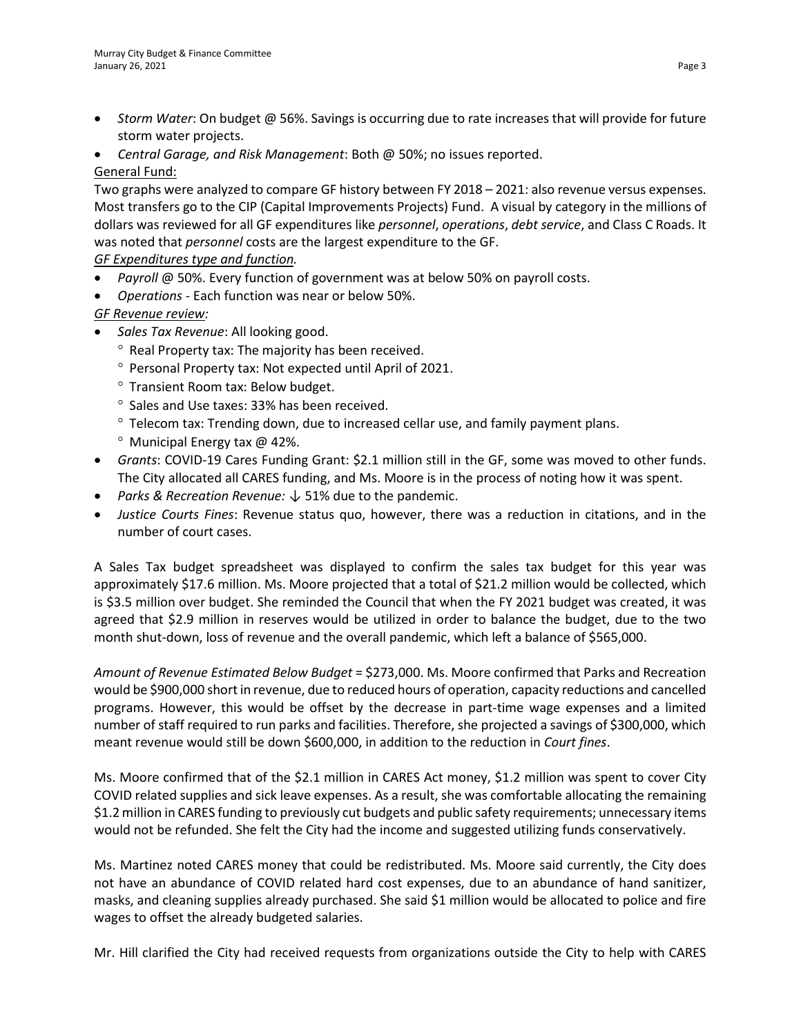- *Storm Water*: On budget @ 56%. Savings is occurring due to rate increases that will provide for future storm water projects.
- *Central Garage, and Risk Management*: Both @ 50%; no issues reported.

# General Fund:

Two graphs were analyzed to compare GF history between FY 2018 – 2021: also revenue versus expenses. Most transfers go to the CIP (Capital Improvements Projects) Fund. A visual by category in the millions of dollars was reviewed for all GF expenditures like *personnel*, *operations*, *debt service*, and Class C Roads. It was noted that *personnel* costs are the largest expenditure to the GF.

*GF Expenditures type and function.* 

- *Payroll* @ 50%. Every function of government was at below 50% on payroll costs.
- *Operations* Each function was near or below 50%.

*GF Revenue review:*

- *Sales Tax Revenue*: All looking good.
	- ° Real Property tax: The majority has been received.
	- ° Personal Property tax: Not expected until April of 2021.
	- ° Transient Room tax: Below budget.
	- ° Sales and Use taxes: 33% has been received.
	- ° Telecom tax: Trending down, due to increased cellar use, and family payment plans.
	- ° Municipal Energy tax @ 42%.
- *Grants*: COVID-19 Cares Funding Grant: \$2.1 million still in the GF, some was moved to other funds. The City allocated all CARES funding, and Ms. Moore is in the process of noting how it was spent.
- *Parks & Recreation Revenue:* ↓ 51% due to the pandemic.
- *Justice Courts Fines*: Revenue status quo, however, there was a reduction in citations, and in the number of court cases.

A Sales Tax budget spreadsheet was displayed to confirm the sales tax budget for this year was approximately \$17.6 million. Ms. Moore projected that a total of \$21.2 million would be collected, which is \$3.5 million over budget. She reminded the Council that when the FY 2021 budget was created, it was agreed that \$2.9 million in reserves would be utilized in order to balance the budget, due to the two month shut-down, loss of revenue and the overall pandemic, which left a balance of \$565,000.

*Amount of Revenue Estimated Below Budget* = \$273,000. Ms. Moore confirmed that Parks and Recreation would be \$900,000 short in revenue, due to reduced hours of operation, capacity reductions and cancelled programs. However, this would be offset by the decrease in part-time wage expenses and a limited number of staff required to run parks and facilities. Therefore, she projected a savings of \$300,000, which meant revenue would still be down \$600,000, in addition to the reduction in *Court fines*.

Ms. Moore confirmed that of the \$2.1 million in CARES Act money, \$1.2 million was spent to cover City COVID related supplies and sick leave expenses. As a result, she was comfortable allocating the remaining \$1.2 million in CARES funding to previously cut budgets and public safety requirements; unnecessary items would not be refunded. She felt the City had the income and suggested utilizing funds conservatively.

Ms. Martinez noted CARES money that could be redistributed. Ms. Moore said currently, the City does not have an abundance of COVID related hard cost expenses, due to an abundance of hand sanitizer, masks, and cleaning supplies already purchased. She said \$1 million would be allocated to police and fire wages to offset the already budgeted salaries.

Mr. Hill clarified the City had received requests from organizations outside the City to help with CARES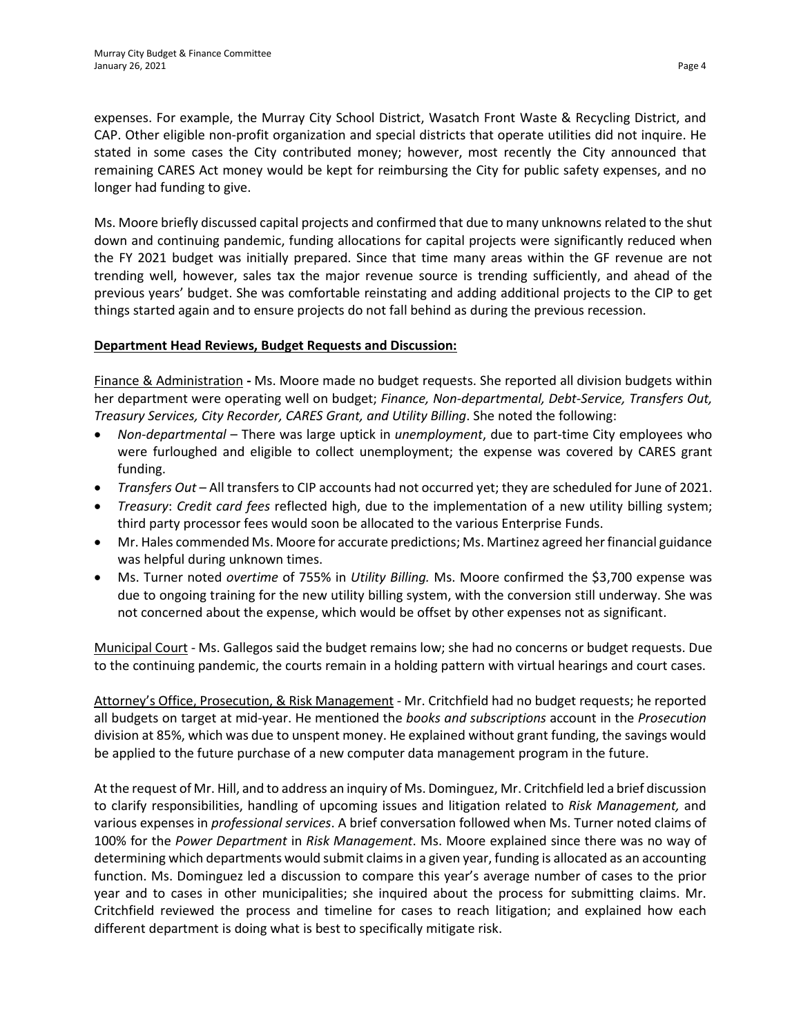expenses. For example, the Murray City School District, Wasatch Front Waste & Recycling District, and CAP. Other eligible non-profit organization and special districts that operate utilities did not inquire. He stated in some cases the City contributed money; however, most recently the City announced that remaining CARES Act money would be kept for reimbursing the City for public safety expenses, and no longer had funding to give.

Ms. Moore briefly discussed capital projects and confirmed that due to many unknowns related to the shut down and continuing pandemic, funding allocations for capital projects were significantly reduced when the FY 2021 budget was initially prepared. Since that time many areas within the GF revenue are not trending well, however, sales tax the major revenue source is trending sufficiently, and ahead of the previous years' budget. She was comfortable reinstating and adding additional projects to the CIP to get things started again and to ensure projects do not fall behind as during the previous recession.

## **Department Head Reviews, Budget Requests and Discussion:**

Finance & Administration **-** Ms. Moore made no budget requests. She reported all division budgets within her department were operating well on budget; *Finance, Non-departmental, Debt-Service, Transfers Out, Treasury Services, City Recorder, CARES Grant, and Utility Billing*. She noted the following:

- *Non-departmental* There was large uptick in *unemployment*, due to part-time City employees who were furloughed and eligible to collect unemployment; the expense was covered by CARES grant funding.
- *Transfers Out* All transfers to CIP accounts had not occurred yet; they are scheduled for June of 2021.
- *Treasury*: *Credit card fees* reflected high, due to the implementation of a new utility billing system; third party processor fees would soon be allocated to the various Enterprise Funds.
- Mr. Hales commended Ms. Moore for accurate predictions; Ms. Martinez agreed her financial guidance was helpful during unknown times.
- Ms. Turner noted *overtime* of 755% in *Utility Billing.* Ms. Moore confirmed the \$3,700 expense was due to ongoing training for the new utility billing system, with the conversion still underway. She was not concerned about the expense, which would be offset by other expenses not as significant.

Municipal Court - Ms. Gallegos said the budget remains low; she had no concerns or budget requests. Due to the continuing pandemic, the courts remain in a holding pattern with virtual hearings and court cases.

Attorney's Office, Prosecution, & Risk Management - Mr. Critchfield had no budget requests; he reported all budgets on target at mid-year. He mentioned the *books and subscriptions* account in the *Prosecution* division at 85%, which was due to unspent money. He explained without grant funding, the savings would be applied to the future purchase of a new computer data management program in the future.

At the request of Mr. Hill, and to address an inquiry of Ms. Dominguez, Mr. Critchfield led a brief discussion to clarify responsibilities, handling of upcoming issues and litigation related to *Risk Management,* and various expenses in *professional services*. A brief conversation followed when Ms. Turner noted claims of 100% for the *Power Department* in *Risk Management*. Ms. Moore explained since there was no way of determining which departments would submit claims in a given year, funding is allocated as an accounting function. Ms. Dominguez led a discussion to compare this year's average number of cases to the prior year and to cases in other municipalities; she inquired about the process for submitting claims. Mr. Critchfield reviewed the process and timeline for cases to reach litigation; and explained how each different department is doing what is best to specifically mitigate risk.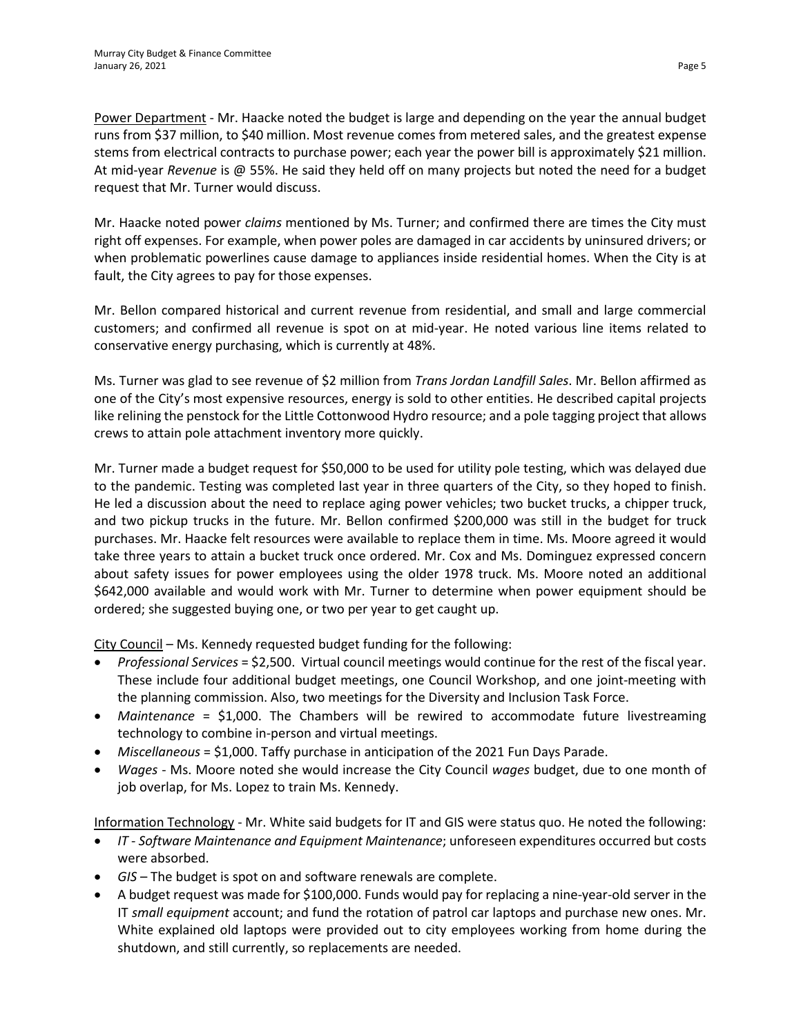Power Department - Mr. Haacke noted the budget is large and depending on the year the annual budget runs from \$37 million, to \$40 million. Most revenue comes from metered sales, and the greatest expense stems from electrical contracts to purchase power; each year the power bill is approximately \$21 million. At mid-year *Revenue* is @ 55%. He said they held off on many projects but noted the need for a budget request that Mr. Turner would discuss.

Mr. Haacke noted power *claims* mentioned by Ms. Turner; and confirmed there are times the City must right off expenses. For example, when power poles are damaged in car accidents by uninsured drivers; or when problematic powerlines cause damage to appliances inside residential homes. When the City is at fault, the City agrees to pay for those expenses.

Mr. Bellon compared historical and current revenue from residential, and small and large commercial customers; and confirmed all revenue is spot on at mid-year. He noted various line items related to conservative energy purchasing, which is currently at 48%.

Ms. Turner was glad to see revenue of \$2 million from *Trans Jordan Landfill Sales*. Mr. Bellon affirmed as one of the City's most expensive resources, energy is sold to other entities. He described capital projects like relining the penstock for the Little Cottonwood Hydro resource; and a pole tagging project that allows crews to attain pole attachment inventory more quickly.

Mr. Turner made a budget request for \$50,000 to be used for utility pole testing, which was delayed due to the pandemic. Testing was completed last year in three quarters of the City, so they hoped to finish. He led a discussion about the need to replace aging power vehicles; two bucket trucks, a chipper truck, and two pickup trucks in the future. Mr. Bellon confirmed \$200,000 was still in the budget for truck purchases. Mr. Haacke felt resources were available to replace them in time. Ms. Moore agreed it would take three years to attain a bucket truck once ordered. Mr. Cox and Ms. Dominguez expressed concern about safety issues for power employees using the older 1978 truck. Ms. Moore noted an additional \$642,000 available and would work with Mr. Turner to determine when power equipment should be ordered; she suggested buying one, or two per year to get caught up.

City Council – Ms. Kennedy requested budget funding for the following:

- *Professional Services* = \$2,500. Virtual council meetings would continue for the rest of the fiscal year. These include four additional budget meetings, one Council Workshop, and one joint-meeting with the planning commission. Also, two meetings for the Diversity and Inclusion Task Force.
- *Maintenance* = \$1,000. The Chambers will be rewired to accommodate future livestreaming technology to combine in-person and virtual meetings.
- *Miscellaneous* = \$1,000. Taffy purchase in anticipation of the 2021 Fun Days Parade.
- *Wages* Ms. Moore noted she would increase the City Council *wages* budget, due to one month of job overlap, for Ms. Lopez to train Ms. Kennedy.

Information Technology - Mr. White said budgets for IT and GIS were status quo. He noted the following:

- *IT Software Maintenance and Equipment Maintenance*; unforeseen expenditures occurred but costs were absorbed.
- *GIS* The budget is spot on and software renewals are complete.
- A budget request was made for \$100,000. Funds would pay for replacing a nine-year-old server in the IT *small equipment* account; and fund the rotation of patrol car laptops and purchase new ones. Mr. White explained old laptops were provided out to city employees working from home during the shutdown, and still currently, so replacements are needed.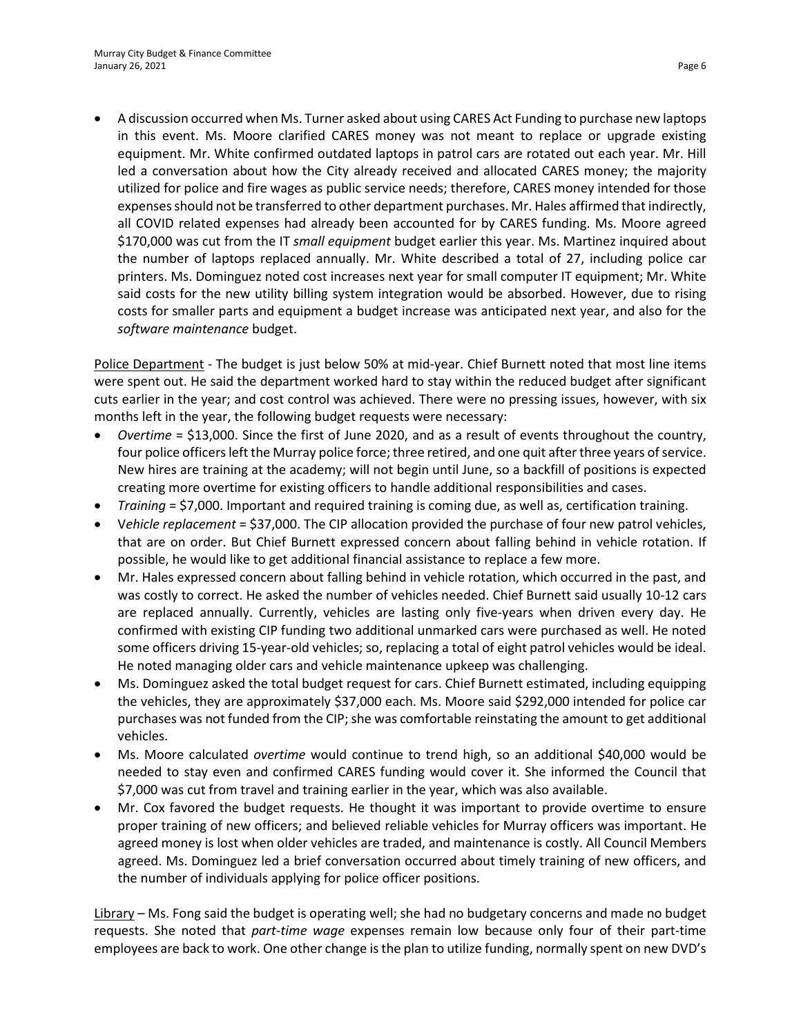• A discussion occurred when Ms. Turner asked about using CARES Act Funding to purchase new laptops in this event. Ms. Moore clarified CARES money was not meant to replace or upgrade existing equipment. Mr. White confirmed outdated laptops in patrol cars are rotated out each year. Mr. Hill led a conversation about how the City already received and allocated CARES money; the majority utilized for police and fire wages as public service needs; therefore, CARES money intended for those expenses should not be transferred to other department purchases. Mr. Hales affirmed that indirectly, all COVID related expenses had already been accounted for by CARES funding. Ms. Moore agreed \$170,000 was cut from the IT *small equipment* budget earlier this year. Ms. Martinez inquired about the number of laptops replaced annually. Mr. White described a total of 27, including police car printers. Ms. Dominguez noted cost increases next year for small computer IT equipment; Mr. White said costs for the new utility billing system integration would be absorbed. However, due to rising costs for smaller parts and equipment a budget increase was anticipated next year, and also for the *software maintenance* budget.

Police Department - The budget is just below 50% at mid-year. Chief Burnett noted that most line items were spent out. He said the department worked hard to stay within the reduced budget after significant cuts earlier in the year; and cost control was achieved. There were no pressing issues, however, with six months left in the year, the following budget requests were necessary:

- *Overtime* = \$13,000. Since the first of June 2020, and as a result of events throughout the country, four police officers left the Murray police force; three retired, and one quit after three years of service. New hires are training at the academy; will not begin until June, so a backfill of positions is expected creating more overtime for existing officers to handle additional responsibilities and cases.
- *Training* = \$7,000. Important and required training is coming due, as well as, certification training.
- V*ehicle replacement* = \$37,000. The CIP allocation provided the purchase of four new patrol vehicles, that are on order. But Chief Burnett expressed concern about falling behind in vehicle rotation. If possible, he would like to get additional financial assistance to replace a few more.
- Mr. Hales expressed concern about falling behind in vehicle rotation, which occurred in the past, and was costly to correct. He asked the number of vehicles needed. Chief Burnett said usually 10-12 cars are replaced annually. Currently, vehicles are lasting only five-years when driven every day. He confirmed with existing CIP funding two additional unmarked cars were purchased as well. He noted some officers driving 15-year-old vehicles; so, replacing a total of eight patrol vehicles would be ideal. He noted managing older cars and vehicle maintenance upkeep was challenging.
- Ms. Dominguez asked the total budget request for cars. Chief Burnett estimated, including equipping the vehicles, they are approximately \$37,000 each. Ms. Moore said \$292,000 intended for police car purchases was not funded from the CIP; she was comfortable reinstating the amount to get additional vehicles.
- Ms. Moore calculated *overtime* would continue to trend high, so an additional \$40,000 would be needed to stay even and confirmed CARES funding would cover it. She informed the Council that \$7,000 was cut from travel and training earlier in the year, which was also available.
- Mr. Cox favored the budget requests. He thought it was important to provide overtime to ensure proper training of new officers; and believed reliable vehicles for Murray officers was important. He agreed money is lost when older vehicles are traded, and maintenance is costly. All Council Members agreed. Ms. Dominguez led a brief conversation occurred about timely training of new officers, and the number of individuals applying for police officer positions.

Library – Ms. Fong said the budget is operating well; she had no budgetary concerns and made no budget requests. She noted that *part-time wage* expenses remain low because only four of their part-time employees are back to work. One other change is the plan to utilize funding, normally spent on new DVD's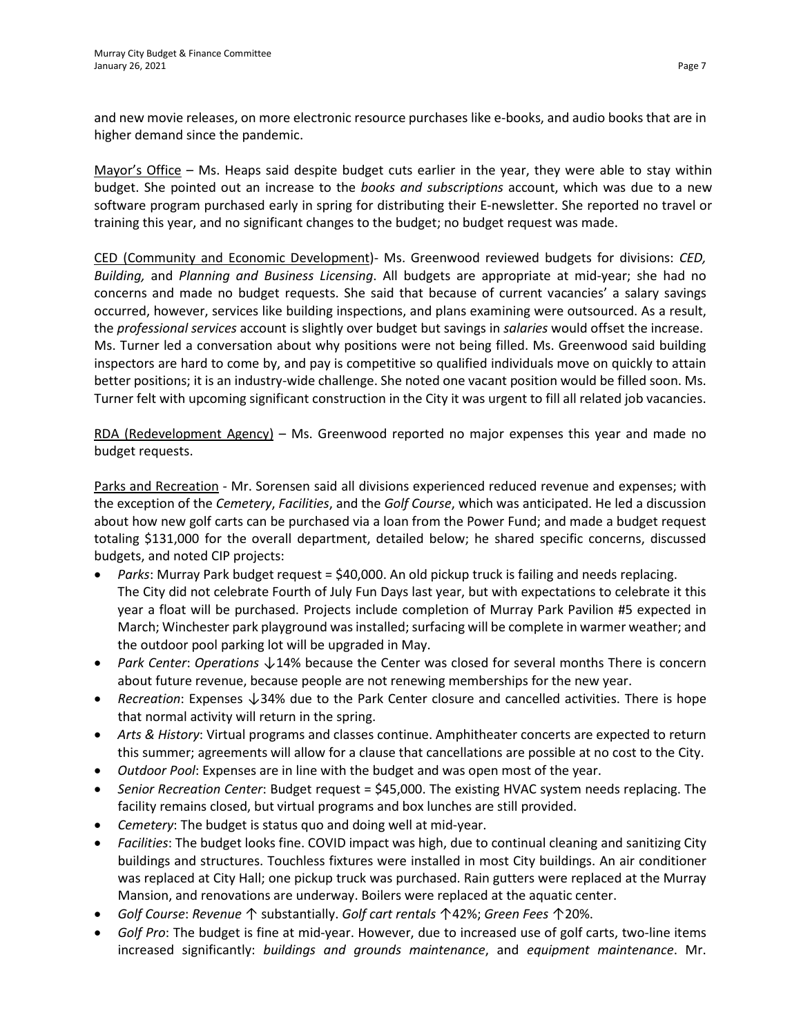and new movie releases, on more electronic resource purchases like e-books, and audio books that are in higher demand since the pandemic.

Mayor's Office – Ms. Heaps said despite budget cuts earlier in the year, they were able to stay within budget. She pointed out an increase to the *books and subscriptions* account, which was due to a new software program purchased early in spring for distributing their E-newsletter. She reported no travel or training this year, and no significant changes to the budget; no budget request was made.

CED (Community and Economic Development)- Ms. Greenwood reviewed budgets for divisions: *CED, Building,* and *Planning and Business Licensing*. All budgets are appropriate at mid-year; she had no concerns and made no budget requests. She said that because of current vacancies' a salary savings occurred, however, services like building inspections, and plans examining were outsourced. As a result, the *professional services* account is slightly over budget but savings in *salaries* would offset the increase. Ms. Turner led a conversation about why positions were not being filled. Ms. Greenwood said building inspectors are hard to come by, and pay is competitive so qualified individuals move on quickly to attain better positions; it is an industry-wide challenge. She noted one vacant position would be filled soon. Ms. Turner felt with upcoming significant construction in the City it was urgent to fill all related job vacancies.

RDA (Redevelopment Agency) – Ms. Greenwood reported no major expenses this year and made no budget requests.

Parks and Recreation - Mr. Sorensen said all divisions experienced reduced revenue and expenses; with the exception of the *Cemetery*, *Facilities*, and the *Golf Course*, which was anticipated. He led a discussion about how new golf carts can be purchased via a loan from the Power Fund; and made a budget request totaling \$131,000 for the overall department, detailed below; he shared specific concerns, discussed budgets, and noted CIP projects:

- *Parks*: Murray Park budget request = \$40,000. An old pickup truck is failing and needs replacing. The City did not celebrate Fourth of July Fun Days last year, but with expectations to celebrate it this year a float will be purchased. Projects include completion of Murray Park Pavilion #5 expected in March; Winchester park playground was installed; surfacing will be complete in warmer weather; and the outdoor pool parking lot will be upgraded in May.
- *Park Center*: *Operations* ↓14% because the Center was closed for several months There is concern about future revenue, because people are not renewing memberships for the new year.
- *Recreation*: Expenses ↓34% due to the Park Center closure and cancelled activities. There is hope that normal activity will return in the spring.
- *Arts & History*: Virtual programs and classes continue. Amphitheater concerts are expected to return this summer; agreements will allow for a clause that cancellations are possible at no cost to the City.
- *Outdoor Pool*: Expenses are in line with the budget and was open most of the year.
- *Senior Recreation Center*: Budget request = \$45,000. The existing HVAC system needs replacing. The facility remains closed, but virtual programs and box lunches are still provided.
- *Cemetery*: The budget is status quo and doing well at mid-year.
- *Facilities*: The budget looks fine. COVID impact was high, due to continual cleaning and sanitizing City buildings and structures. Touchless fixtures were installed in most City buildings. An air conditioner was replaced at City Hall; one pickup truck was purchased. Rain gutters were replaced at the Murray Mansion, and renovations are underway. Boilers were replaced at the aquatic center.
- *Golf Course*: *Revenue* ↑ substantially. *Golf cart rentals* ↑42%; *Green Fees* ↑20%.
- *Golf Pro*: The budget is fine at mid-year. However, due to increased use of golf carts, two-line items increased significantly: *buildings and grounds maintenance*, and *equipment maintenance*. Mr.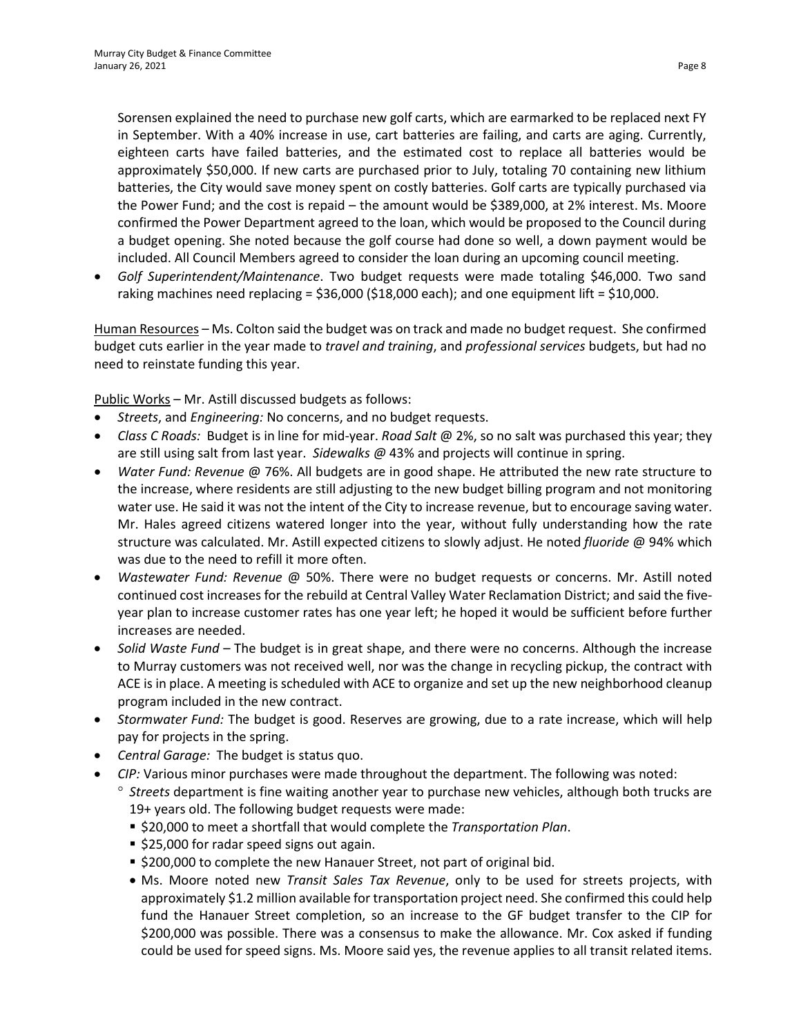Sorensen explained the need to purchase new golf carts, which are earmarked to be replaced next FY in September. With a 40% increase in use, cart batteries are failing, and carts are aging. Currently, eighteen carts have failed batteries, and the estimated cost to replace all batteries would be approximately \$50,000. If new carts are purchased prior to July, totaling 70 containing new lithium batteries, the City would save money spent on costly batteries. Golf carts are typically purchased via the Power Fund; and the cost is repaid – the amount would be \$389,000, at 2% interest. Ms. Moore confirmed the Power Department agreed to the loan, which would be proposed to the Council during a budget opening. She noted because the golf course had done so well, a down payment would be included. All Council Members agreed to consider the loan during an upcoming council meeting.

• *Golf Superintendent/Maintenance*. Two budget requests were made totaling \$46,000. Two sand raking machines need replacing =  $$36,000$  ( $$18,000$  each); and one equipment lift =  $$10,000$ .

Human Resources – Ms. Colton said the budget was on track and made no budget request. She confirmed budget cuts earlier in the year made to *travel and training*, and *professional services* budgets, but had no need to reinstate funding this year.

Public Works – Mr. Astill discussed budgets as follows:

- *Streets*, and *Engineering:* No concerns, and no budget requests.
- *Class C Roads:* Budget is in line for mid-year. *Road Salt* @ 2%, so no salt was purchased this year; they are still using salt from last year. *Sidewalks @* 43% and projects will continue in spring.
- *Water Fund: Revenue* @ 76%. All budgets are in good shape. He attributed the new rate structure to the increase, where residents are still adjusting to the new budget billing program and not monitoring water use. He said it was not the intent of the City to increase revenue, but to encourage saving water. Mr. Hales agreed citizens watered longer into the year, without fully understanding how the rate structure was calculated. Mr. Astill expected citizens to slowly adjust. He noted *fluoride* @ 94% which was due to the need to refill it more often.
- *Wastewater Fund: Revenue* @ 50%. There were no budget requests or concerns. Mr. Astill noted continued cost increases for the rebuild at Central Valley Water Reclamation District; and said the fiveyear plan to increase customer rates has one year left; he hoped it would be sufficient before further increases are needed.
- *Solid Waste Fund* The budget is in great shape, and there were no concerns. Although the increase to Murray customers was not received well, nor was the change in recycling pickup, the contract with ACE is in place. A meeting is scheduled with ACE to organize and set up the new neighborhood cleanup program included in the new contract.
- *Stormwater Fund:* The budget is good. Reserves are growing, due to a rate increase, which will help pay for projects in the spring.
- *Central Garage:* The budget is status quo.
- *CIP:* Various minor purchases were made throughout the department. The following was noted:
	- ° *Streets* department is fine waiting another year to purchase new vehicles, although both trucks are 19+ years old. The following budget requests were made:
		- \$20,000 to meet a shortfall that would complete the *Transportation Plan*.
		- **525,000 for radar speed signs out again.**
		- \$200,000 to complete the new Hanauer Street, not part of original bid.
		- Ms. Moore noted new *Transit Sales Tax Revenue*, only to be used for streets projects, with approximately \$1.2 million available for transportation project need. She confirmed this could help fund the Hanauer Street completion, so an increase to the GF budget transfer to the CIP for \$200,000 was possible. There was a consensus to make the allowance. Mr. Cox asked if funding could be used for speed signs. Ms. Moore said yes, the revenue applies to all transit related items.